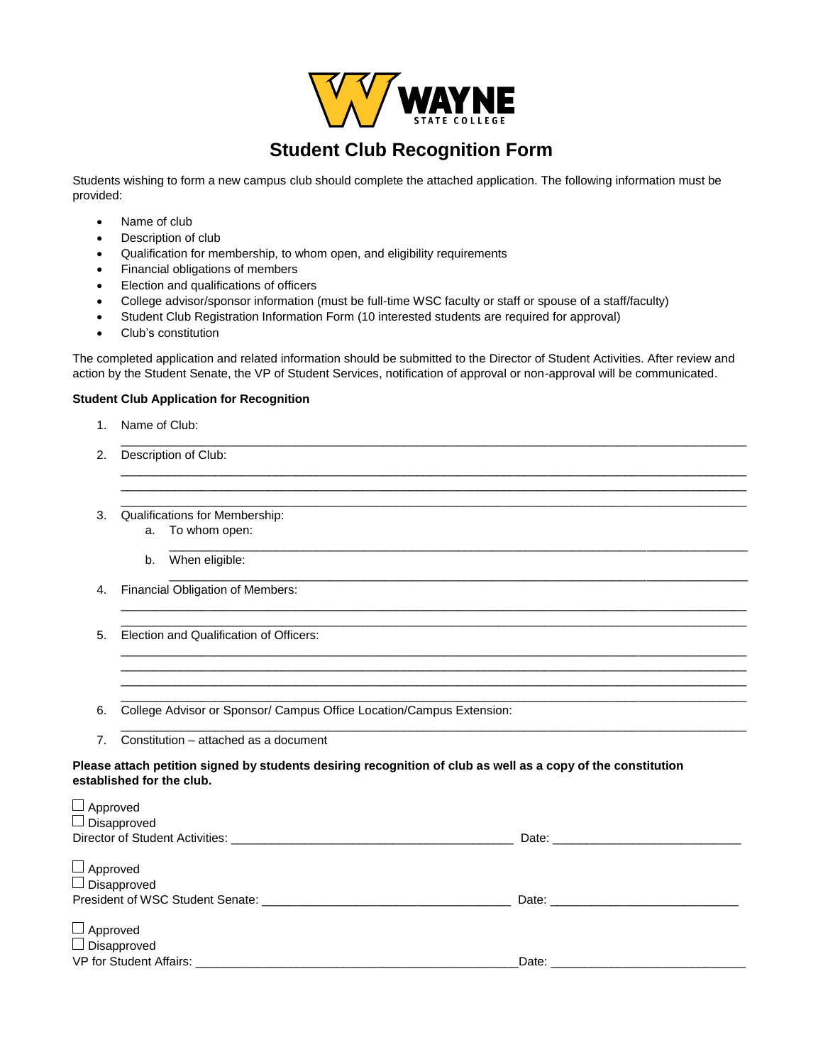

# **Student Club Recognition Form**

Students wishing to form a new campus club should complete the attached application. The following information must be provided:

- Name of club
- Description of club
- Qualification for membership, to whom open, and eligibility requirements
- Financial obligations of members
- Election and qualifications of officers
- College advisor/sponsor information (must be full-time WSC faculty or staff or spouse of a staff/faculty)
- Student Club Registration Information Form (10 interested students are required for approval)
- Club's constitution

The completed application and related information should be submitted to the Director of Student Activities. After review and action by the Student Senate, the VP of Student Services, notification of approval or non-approval will be communicated.

 $\overline{a}$  , and the state of the state of the state of the state of the state of the state of the state of the state of the state of the state of the state of the state of the state of the state of the state of the state o

 $\overline{a}$  , and the state of the state of the state of the state of the state of the state of the state of the state of the state of the state of the state of the state of the state of the state of the state of the state o  $\overline{a}$  , and the state of the state of the state of the state of the state of the state of the state of the state of the state of the state of the state of the state of the state of the state of the state of the state o  $\overline{a}$  , and the state of the state of the state of the state of the state of the state of the state of the state of the state of the state of the state of the state of the state of the state of the state of the state o

 $\overline{a}$  , and the state of the state of the state of the state of the state of the state of the state of the state of the state of the state of the state of the state of the state of the state of the state of the state o  $\overline{a}$  , and the state of the state of the state of the state of the state of the state of the state of the state of the state of the state of the state of the state of the state of the state of the state of the state o

 $\overline{a}$  , and the state of the state of the state of the state of the state of the state of the state of the state of the state of the state of the state of the state of the state of the state of the state of the state o  $\overline{a}$  , and the state of the state of the state of the state of the state of the state of the state of the state of the state of the state of the state of the state of the state of the state of the state of the state o  $\overline{a}$  , and the state of the state of the state of the state of the state of the state of the state of the state of the state of the state of the state of the state of the state of the state of the state of the state o  $\overline{a}$  , and the state of the state of the state of the state of the state of the state of the state of the state of the state of the state of the state of the state of the state of the state of the state of the state o

 $\overline{a}$  , and the state of the state of the state of the state of the state of the state of the state of the state of the state of the state of the state of the state of the state of the state of the state of the state o

\_\_\_\_\_\_\_\_\_\_\_\_\_\_\_\_\_\_\_\_\_\_\_\_\_\_\_\_\_\_\_\_\_\_\_\_\_\_\_\_\_\_\_\_\_\_\_\_\_\_\_\_\_\_\_\_\_\_\_\_\_\_\_\_\_\_\_\_\_\_\_\_\_\_\_\_\_\_\_\_\_\_\_\_\_\_

#### **Student Club Application for Recognition**

- 1. Name of Club:
- 2. Description of Club:
- 3. Qualifications for Membership:
	- a. To whom open: \_\_\_\_\_\_\_\_\_\_\_\_\_\_\_\_\_\_\_\_\_\_\_\_\_\_\_\_\_\_\_\_\_\_\_\_\_\_\_\_\_\_\_\_\_\_\_\_\_\_\_\_\_\_\_\_\_\_\_\_\_\_\_\_\_\_\_\_\_\_\_\_\_\_\_\_\_\_\_\_\_\_\_\_\_\_
	- b. When eligible:
- 4. Financial Obligation of Members:
- 5. Election and Qualification of Officers:
- 6. College Advisor or Sponsor/ Campus Office Location/Campus Extension:
- 7. Constitution attached as a document

#### **Please attach petition signed by students desiring recognition of club as well as a copy of the constitution established for the club.**

| $\Box$ Approved                             |       |
|---------------------------------------------|-------|
| $\Box$ Disapproved                          |       |
|                                             |       |
|                                             |       |
| $\Box$ Approved                             |       |
| $\Box$ Disapproved                          |       |
| President of WSC Student Senate: __________ | Date: |
|                                             |       |
| $\Box$ Approved                             |       |
| $\Box$ Disapproved                          |       |
| VP for Student Affairs:                     | Date: |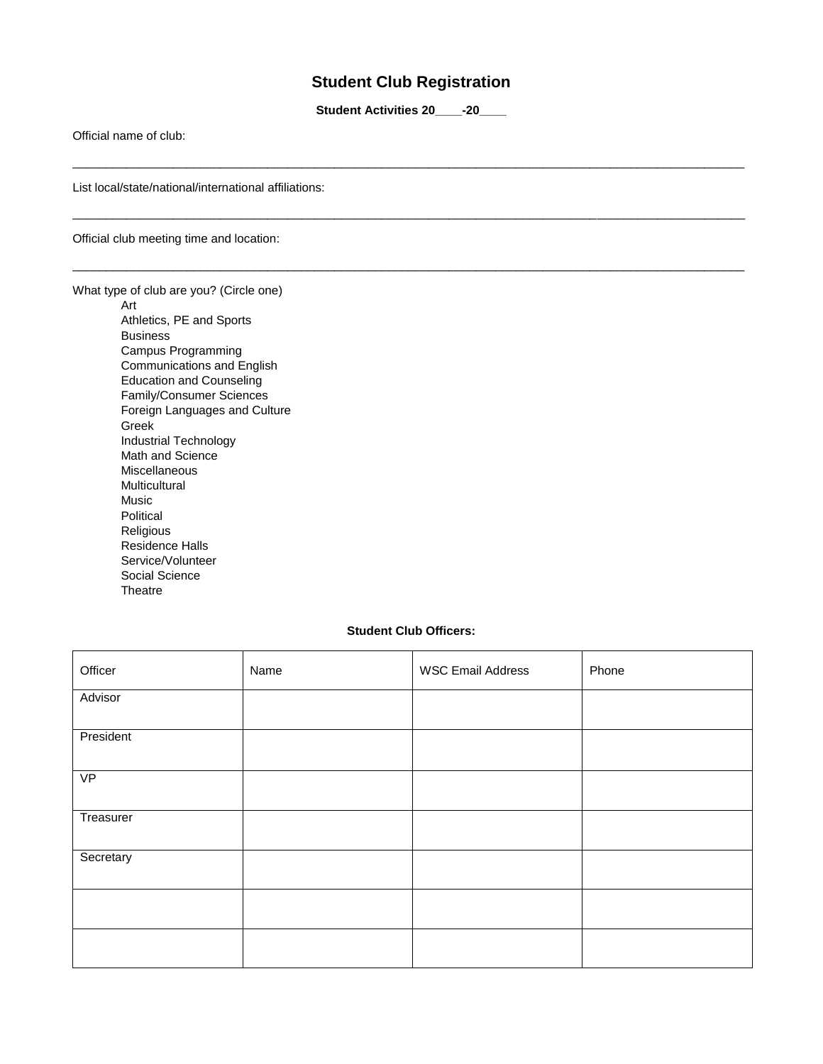## **Student Club Registration**

**Student Activities 20\_\_\_\_-20\_\_\_\_**

\_\_\_\_\_\_\_\_\_\_\_\_\_\_\_\_\_\_\_\_\_\_\_\_\_\_\_\_\_\_\_\_\_\_\_\_\_\_\_\_\_\_\_\_\_\_\_\_\_\_\_\_\_\_\_\_\_\_\_\_\_\_\_\_\_\_\_\_\_\_\_\_\_\_\_\_\_\_\_\_\_\_\_\_\_\_\_\_\_\_\_\_\_\_\_\_\_\_\_\_

\_\_\_\_\_\_\_\_\_\_\_\_\_\_\_\_\_\_\_\_\_\_\_\_\_\_\_\_\_\_\_\_\_\_\_\_\_\_\_\_\_\_\_\_\_\_\_\_\_\_\_\_\_\_\_\_\_\_\_\_\_\_\_\_\_\_\_\_\_\_\_\_\_\_\_\_\_\_\_\_\_\_\_\_\_\_\_\_\_\_\_\_\_\_\_\_\_\_\_\_

\_\_\_\_\_\_\_\_\_\_\_\_\_\_\_\_\_\_\_\_\_\_\_\_\_\_\_\_\_\_\_\_\_\_\_\_\_\_\_\_\_\_\_\_\_\_\_\_\_\_\_\_\_\_\_\_\_\_\_\_\_\_\_\_\_\_\_\_\_\_\_\_\_\_\_\_\_\_\_\_\_\_\_\_\_\_\_\_\_\_\_\_\_\_\_\_\_\_\_\_

Official name of club:

List local/state/national/international affiliations:

Official club meeting time and location:

What type of club are you? (Circle one)

Art Athletics, PE and Sports Business Campus Programming Communications and English Education and Counseling Family/Consumer Sciences Foreign Languages and Culture Greek Industrial Technology Math and Science Miscellaneous **Multicultural** Music Political Religious Residence Halls Service/Volunteer Social Science **Theatre** 

#### **Student Club Officers:**

| Officer         | Name | <b>WSC Email Address</b> | Phone |
|-----------------|------|--------------------------|-------|
| Advisor         |      |                          |       |
| President       |      |                          |       |
| $\overline{VP}$ |      |                          |       |
| Treasurer       |      |                          |       |
| Secretary       |      |                          |       |
|                 |      |                          |       |
|                 |      |                          |       |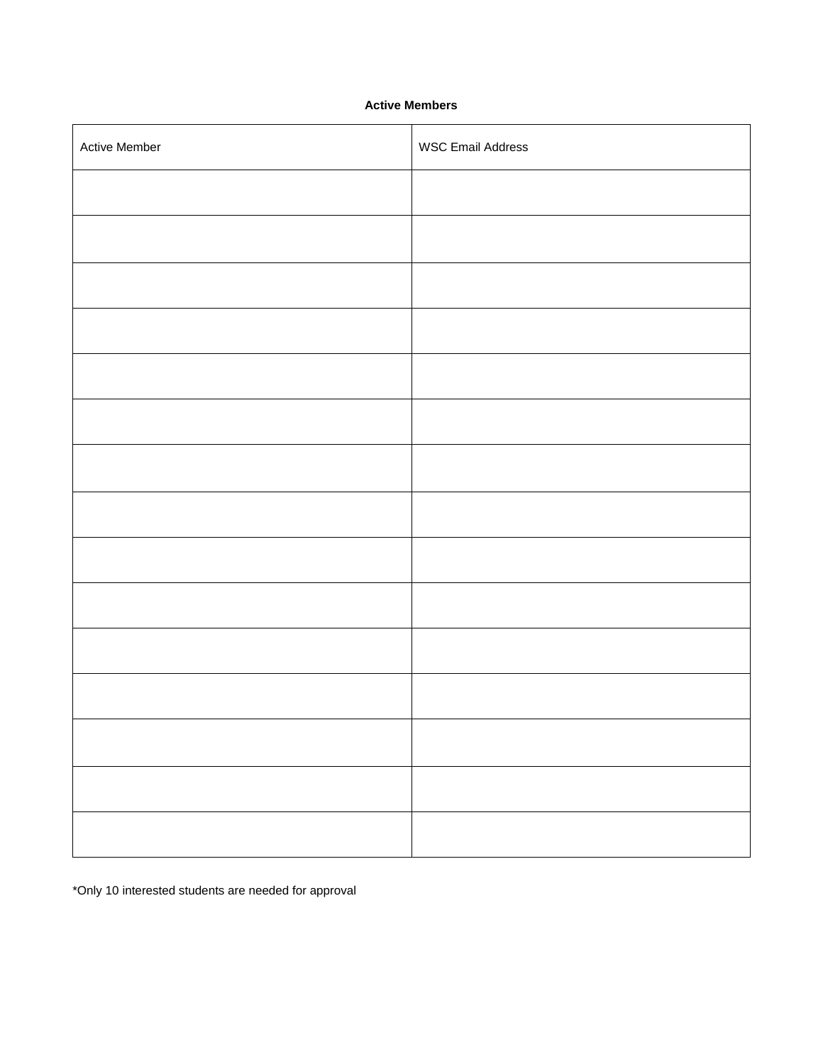### **Active Members**

| Active Member | <b>WSC Email Address</b> |
|---------------|--------------------------|
|               |                          |
|               |                          |
|               |                          |
|               |                          |
|               |                          |
|               |                          |
|               |                          |
|               |                          |
|               |                          |
|               |                          |
|               |                          |
|               |                          |
|               |                          |
|               |                          |
|               |                          |

\*Only 10 interested students are needed for approval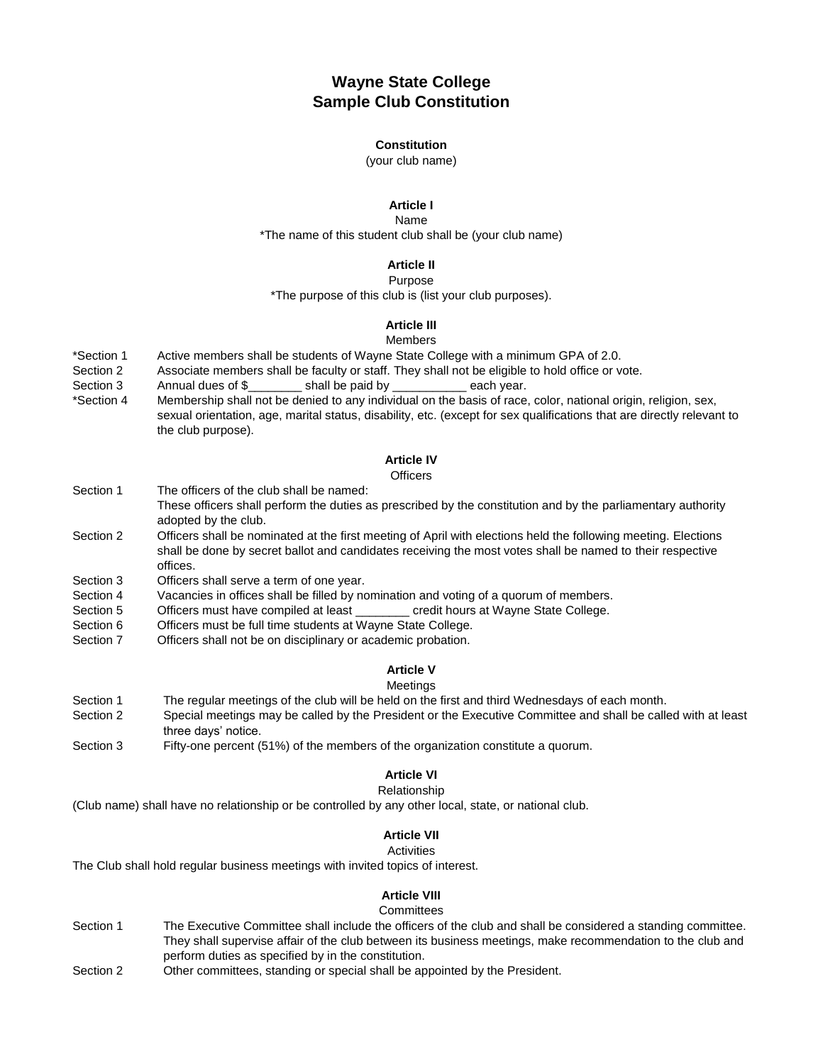# **Wayne State College Sample Club Constitution**

#### **Constitution**

(your club name)

### **Article I**

Name \*The name of this student club shall be (your club name)

### **Article II**

#### Purpose

\*The purpose of this club is (list your club purposes).

### **Article III**

#### Members

- \*Section 1 Active members shall be students of Wayne State College with a minimum GPA of 2.0.
- Section 2 Associate members shall be faculty or staff. They shall not be eligible to hold office or vote.
- Section 3 Annual dues of \$ \_\_\_\_\_\_\_\_ shall be paid by \_\_\_\_\_\_\_\_\_\_\_\_ each year.
- \*Section 4 Membership shall not be denied to any individual on the basis of race, color, national origin, religion, sex, sexual orientation, age, marital status, disability, etc. (except for sex qualifications that are directly relevant to the club purpose).

### **Article IV**

#### **Officers**

- Section 1 The officers of the club shall be named: These officers shall perform the duties as prescribed by the constitution and by the parliamentary authority adopted by the club. Section 2 Officers shall be nominated at the first meeting of April with elections held the following meeting. Elections
- shall be done by secret ballot and candidates receiving the most votes shall be named to their respective offices.
- Section 3 Officers shall serve a term of one year.
- Section 4 Vacancies in offices shall be filled by nomination and voting of a quorum of members.
- Section 5 Officers must have compiled at least example credit hours at Wayne State College.
- Section 6 Officers must be full time students at Wayne State College.
- Section 7 Officers shall not be on disciplinary or academic probation.

### **Article V**

#### Meetings

- Section 1 The regular meetings of the club will be held on the first and third Wednesdays of each month.
- Section 2 Special meetings may be called by the President or the Executive Committee and shall be called with at least three days' notice.
- Section 3 Fifty-one percent (51%) of the members of the organization constitute a quorum.

#### **Article VI**

#### Relationship

(Club name) shall have no relationship or be controlled by any other local, state, or national club.

### **Article VII**

#### **Activities**

The Club shall hold regular business meetings with invited topics of interest.

### **Article VIII**

#### **Committees**

- Section 1 The Executive Committee shall include the officers of the club and shall be considered a standing committee. They shall supervise affair of the club between its business meetings, make recommendation to the club and perform duties as specified by in the constitution.
- Section 2 Other committees, standing or special shall be appointed by the President.